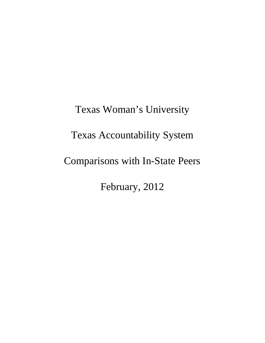Texas Woman's University Texas Accountability System Comparisons with In-State Peers February, 2012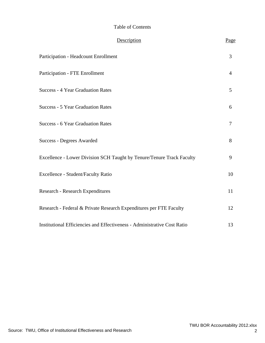#### Table of Contents

| Description                                                              | Page |
|--------------------------------------------------------------------------|------|
| Participation - Headcount Enrollment                                     | 3    |
| <b>Participation - FTE Enrollment</b>                                    | 4    |
| <b>Success - 4 Year Graduation Rates</b>                                 | 5    |
| <b>Success - 5 Year Graduation Rates</b>                                 | 6    |
| <b>Success - 6 Year Graduation Rates</b>                                 | 7    |
| <b>Success - Degrees Awarded</b>                                         | 8    |
| Excellence - Lower Division SCH Taught by Tenure/Tenure Track Faculty    | 9    |
| Excellence - Student/Faculty Ratio                                       | 10   |
| Research - Research Expenditures                                         | 11   |
| Research - Federal & Private Research Expenditures per FTE Faculty       | 12   |
| Institutional Efficiencies and Effectiveness - Administrative Cost Ratio | 13   |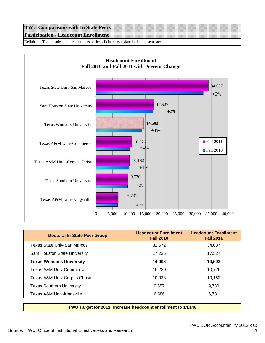# **TWU Comparisons with In State Peers Participation - Headcount Enrollment**

Definition: Total headcount enrollment as of the official census date in the fall semester.



| <b>Doctoral In-State Peer Group</b> | <b>Headcount Enrollment</b><br><b>Fall 2010</b> | <b>Headcount Enrollment</b><br><b>Fall 2011</b> |
|-------------------------------------|-------------------------------------------------|-------------------------------------------------|
| Texas State Univ-San Marcos         | 32,572                                          | 34,087                                          |
| Sam Houston State University        | 17,236                                          | 17,527                                          |
| <b>Texas Woman's University</b>     | 14,008                                          | 14,503                                          |
| Texas A&M Univ-Commerce             | 10.280                                          | 10.726                                          |
| Texas A&M Univ-Corpus Christi       | 10,033                                          | 10.162                                          |
| <b>Texas Southern University</b>    | 9,557                                           | 9.730                                           |
| Texas A&M Univ-Kingsville           | 6,586                                           | 6.731                                           |

**TWU Target for 2011: Increase headcount enrollment to 14,148**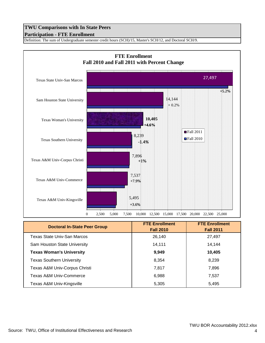## **Participation - FTE Enrollment**

Definition: The sum of Undergraduate semester credit hours (SCH)/15, Master's SCH/12, and Doctoral SCH/9.



| <b>Doctoral In-State Peer Group</b> | <b>FTE Enrollment</b><br><b>Fall 2010</b> | <b>FTE Enrollment</b><br><b>Fall 2011</b> |
|-------------------------------------|-------------------------------------------|-------------------------------------------|
| <b>Texas State Univ-San Marcos</b>  | 26,140                                    | 27,497                                    |
| Sam Houston State University        | 14,111                                    | 14,144                                    |
| <b>Texas Woman's University</b>     | 9,949                                     | 10,405                                    |
| <b>Texas Southern University</b>    | 8,354                                     | 8,239                                     |
| Texas A&M Univ-Corpus Christi       | 7,817                                     | 7,896                                     |
| Texas A&M Univ-Commerce             | 6,988                                     | 7,537                                     |
| Texas A&M Univ-Kingsville           | 5,305                                     | 5,495                                     |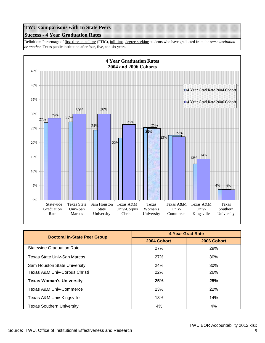#### **Success - 4 Year Graduation Rates**

Definition: Percentage of first-time-in-college (FTIC), full-time, degree-seeking students who have graduated from the *same institution or another* Texas public institution after four, five, and six years.



| <b>Doctoral In-State Peer Group</b> | 4 Year Grad Rate |             |
|-------------------------------------|------------------|-------------|
|                                     | 2004 Cohort      | 2006 Cohort |
| <b>Statewide Graduation Rate</b>    | 27%              | 29%         |
| Texas State Univ-San Marcos         | 27%              | 30%         |
| Sam Houston State University        | 24%              | 30%         |
| Texas A&M Univ-Corpus Christi       | <b>22%</b>       | 26%         |
| <b>Texas Woman's University</b>     | 25%              | 25%         |
| Texas A&M Univ-Commerce             | 23%              | <b>22%</b>  |
| Texas A&M Univ-Kingsville           | 13%              | 14%         |
| <b>Texas Southern University</b>    | 4%               | 4%          |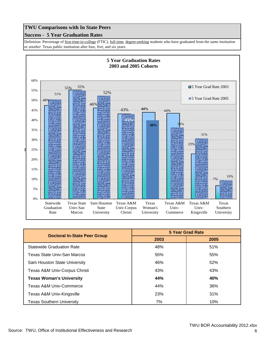#### **Success - 5 Year Graduation Rates**

Definition: Percentage of first-time-in-college (FTIC), full-time, degree-seeking students who have graduated from the *same institution or another* Texas public institution after four, five, and six years.



| <b>Doctoral In-State Peer Group</b> | 5 Year Grad Rate |      |
|-------------------------------------|------------------|------|
|                                     | 2003             | 2005 |
| <b>Statewide Graduation Rate</b>    | 48%              | 51%  |
| Texas State Univ-San Marcos         | 55%              | 55%  |
| Sam Houston State University        | 46%              | 52%  |
| Texas A&M Univ-Corpus Christi       | 43%              | 43%  |
| <b>Texas Woman's University</b>     | 44%              | 40%  |
| Texas A&M Univ-Commerce             | 44%              | 36%  |
| Texas A&M Univ-Kingsville           | 23%              | 31%  |
| <b>Texas Southern University</b>    | 7%               | 10%  |

6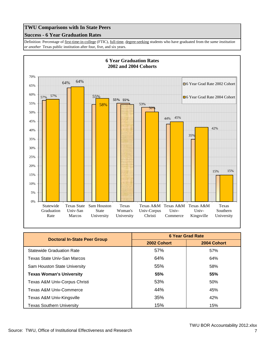#### **Success - 6 Year Graduation Rates**

Definition: Percentage of first-time-in-college (FTIC), full-time, degree-seeking students who have graduated from the *same institution or another* Texas public institution after four, five, and six years.



| <b>Doctoral In-State Peer Group</b> | <b>6 Year Grad Rate</b> |             |
|-------------------------------------|-------------------------|-------------|
|                                     | 2002 Cohort             | 2004 Cohort |
| <b>Statewide Graduation Rate</b>    | 57%                     | 57%         |
| Texas State Univ-San Marcos         | 64%                     | 64%         |
| Sam Houston State University        | 55%                     | 58%         |
| <b>Texas Woman's University</b>     | 55%                     | 55%         |
| Texas A&M Univ-Corpus Christi       | 53%                     | 50%         |
| Texas A&M Univ-Commerce             | 44%                     | 45%         |
| Texas A&M Univ-Kingsville           | 35%                     | 42%         |
| <b>Texas Southern University</b>    | 15%                     | 15%         |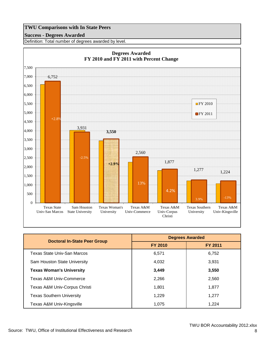#### **Success - Degrees Awarded**

Definition: Total number of degrees awarded by level.



| <b>Doctoral In-State Peer Group</b> | <b>Degrees Awarded</b> |                |
|-------------------------------------|------------------------|----------------|
|                                     | <b>FY 2010</b>         | <b>FY 2011</b> |
| Texas State Univ-San Marcos         | 6,571                  | 6,752          |
| Sam Houston State University        | 4,032                  | 3,931          |
| <b>Texas Woman's University</b>     | 3,449                  | 3,550          |
| Texas A&M Univ-Commerce             | 2,266                  | 2,560          |
| Texas A&M Univ-Corpus Christi       | 1,801                  | 1.877          |
| <b>Texas Southern University</b>    | 1.229                  | 1.277          |
| Texas A&M Univ-Kingsville           | 1,075                  | 1,224          |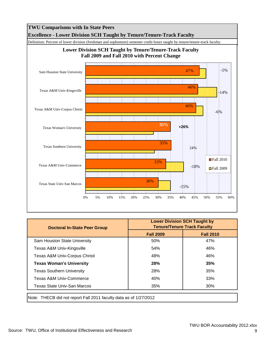

| <b>Fall 2009</b><br>50%<br>54% | <b>Fall 2010</b><br>47%<br>46%                                    |
|--------------------------------|-------------------------------------------------------------------|
|                                |                                                                   |
|                                |                                                                   |
|                                |                                                                   |
| 48%                            | 46%                                                               |
| <b>28%</b>                     | 35%                                                               |
| 28%                            | 35%                                                               |
| 40%                            | 33%                                                               |
| 35%                            | 30%                                                               |
|                                | Note: THECB did not report Fall 2011 faculty data as of 1/27/2012 |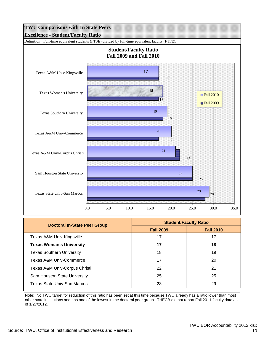

| Doctoral In-State Peer Group     | <b>Student/Faculty Ratio</b> |                  |
|----------------------------------|------------------------------|------------------|
|                                  | <b>Fall 2009</b>             | <b>Fall 2010</b> |
| Texas A&M Univ-Kingsville        | 17                           | 17               |
| <b>Texas Woman's University</b>  | 17                           | 18               |
| <b>Texas Southern University</b> | 18                           | 19               |
| Texas A&M Univ-Commerce          | 17                           | 20               |
| Texas A&M Univ-Corpus Christi    | 22                           | 21               |
| Sam Houston State University     | 25                           | 25               |
| Texas State Univ-San Marcos      | 28                           | 29               |

Note: No TWU target for reduction of this ratio has been set at this time because TWU already has a ratio lower than most other state institutions and has one of the lowest in the doctoral peer group. THECB did not report Fall 2011 faculty data as of 1/27/2012.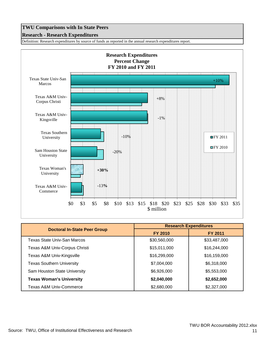#### **Research - Research Expenditures**

Definition: Research expenditures by source of funds as reported in the annual research expenditures report.



| <b>Doctoral In-State Peer Group</b> | <b>Research Expenditures</b> |                |
|-------------------------------------|------------------------------|----------------|
|                                     | <b>FY 2010</b>               | <b>FY 2011</b> |
| Texas State Univ-San Marcos         | \$30,560,000                 | \$33,487,000   |
| Texas A&M Univ-Corpus Christi       | \$15,011,000                 | \$16,244,000   |
| Texas A&M Univ-Kingsville           | \$16,299,000                 | \$16,159,000   |
| <b>Texas Southern University</b>    | \$7,004,000                  | \$6,318,000    |
| Sam Houston State University        | \$6,926,000                  | \$5,553,000    |
| <b>Texas Woman's University</b>     | \$2,040,000                  | \$2,652,000    |
| <b>Texas A&amp;M Univ-Commerce</b>  | \$2,680,000                  | \$2,327,000    |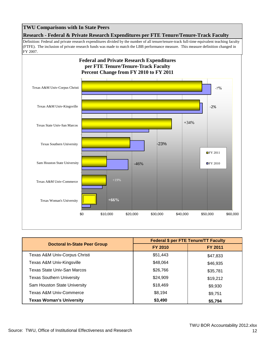**Research - Federal & Private Research Expenditures per FTE Tenure/Tenure-Track Faculty**

Definition: Federal and private research expenditures divided by the number of all tenure/tenure-track full-time equivalent teaching faculty (FTFE). The inclusion of private research funds was made to match the LBB performance measure. This measure definition changed in FY 2007.



|                                     | <b>Federal \$ per FTE Tenure/TT Faculty</b> |                |
|-------------------------------------|---------------------------------------------|----------------|
| <b>Doctoral In-State Peer Group</b> | <b>FY 2010</b>                              | <b>FY 2011</b> |
| Texas A&M Univ-Corpus Christi       | \$51,443                                    | \$47,833       |
| Texas A&M Univ-Kingsville           | \$48,064                                    | \$46,935       |
| Texas State Univ-San Marcos         | \$26,766                                    | \$35,781       |
| <b>Texas Southern University</b>    | \$24,909                                    | \$19,212       |
| Sam Houston State University        | \$18,469                                    | \$9,930        |
| Texas A&M Univ-Commerce             | \$8,194                                     | \$9,751        |
| <b>Texas Woman's University</b>     | \$3,490                                     | \$5,794        |